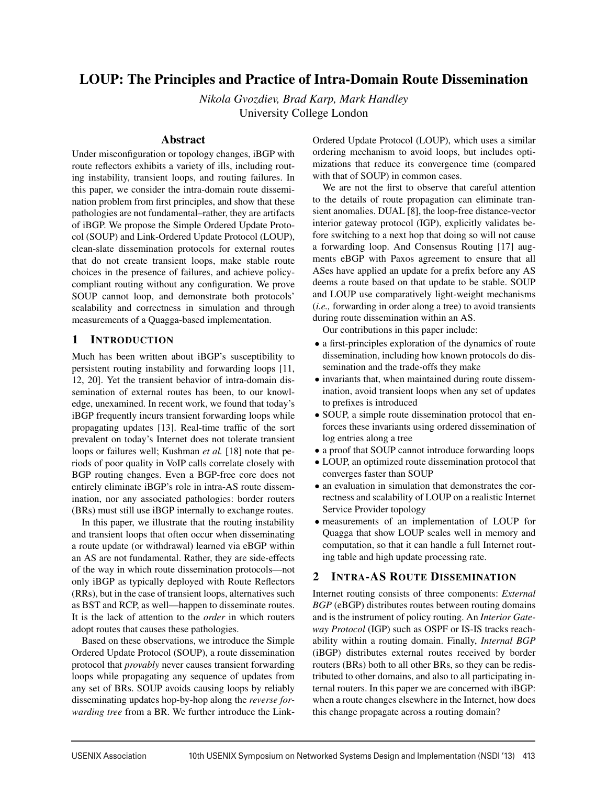# LOUP: The Principles and Practice of Intra-Domain Route Dissemination

*Nikola Gvozdiev, Brad Karp, Mark Handley* University College London

# Abstract

Under misconfiguration or topology changes, iBGP with route reflectors exhibits a variety of ills, including routing instability, transient loops, and routing failures. In this paper, we consider the intra-domain route dissemination problem from first principles, and show that these pathologies are not fundamental–rather, they are artifacts of iBGP. We propose the Simple Ordered Update Protocol (SOUP) and Link-Ordered Update Protocol (LOUP), clean-slate dissemination protocols for external routes that do not create transient loops, make stable route choices in the presence of failures, and achieve policycompliant routing without any configuration. We prove SOUP cannot loop, and demonstrate both protocols' scalability and correctness in simulation and through measurements of a Quagga-based implementation.

# 1 INTRODUCTION

Much has been written about iBGP's susceptibility to persistent routing instability and forwarding loops [11, 12, 20]. Yet the transient behavior of intra-domain dissemination of external routes has been, to our knowledge, unexamined. In recent work, we found that today's iBGP frequently incurs transient forwarding loops while propagating updates [13]. Real-time traffic of the sort prevalent on today's Internet does not tolerate transient loops or failures well; Kushman *et al.* [18] note that periods of poor quality in VoIP calls correlate closely with BGP routing changes. Even a BGP-free core does not entirely eliminate iBGP's role in intra-AS route dissemination, nor any associated pathologies: border routers (BRs) must still use iBGP internally to exchange routes.

In this paper, we illustrate that the routing instability and transient loops that often occur when disseminating a route update (or withdrawal) learned via eBGP within an AS are not fundamental. Rather, they are side-effects of the way in which route dissemination protocols—not only iBGP as typically deployed with Route Reflectors (RRs), but in the case of transient loops, alternatives such as BST and RCP, as well—happen to disseminate routes. It is the lack of attention to the *order* in which routers adopt routes that causes these pathologies.

Based on these observations, we introduce the Simple Ordered Update Protocol (SOUP), a route dissemination protocol that *provably* never causes transient forwarding loops while propagating any sequence of updates from any set of BRs. SOUP avoids causing loops by reliably disseminating updates hop-by-hop along the *reverse forwarding tree* from a BR. We further introduce the LinkOrdered Update Protocol (LOUP), which uses a similar ordering mechanism to avoid loops, but includes optimizations that reduce its convergence time (compared with that of SOUP) in common cases.

We are not the first to observe that careful attention to the details of route propagation can eliminate transient anomalies. DUAL [8], the loop-free distance-vector interior gateway protocol (IGP), explicitly validates before switching to a next hop that doing so will not cause a forwarding loop. And Consensus Routing [17] augments eBGP with Paxos agreement to ensure that all ASes have applied an update for a prefix before any AS deems a route based on that update to be stable. SOUP and LOUP use comparatively light-weight mechanisms (*i.e.,* forwarding in order along a tree) to avoid transients during route dissemination within an AS.

Our contributions in this paper include:

- a first-principles exploration of the dynamics of route dissemination, including how known protocols do dissemination and the trade-offs they make
- invariants that, when maintained during route dissemination, avoid transient loops when any set of updates to prefixes is introduced
- SOUP, a simple route dissemination protocol that enforces these invariants using ordered dissemination of log entries along a tree
- a proof that SOUP cannot introduce forwarding loops
- LOUP, an optimized route dissemination protocol that converges faster than SOUP
- an evaluation in simulation that demonstrates the correctness and scalability of LOUP on a realistic Internet Service Provider topology
- measurements of an implementation of LOUP for Quagga that show LOUP scales well in memory and computation, so that it can handle a full Internet routing table and high update processing rate.

# 2 INTRA-AS ROUTE DISSEMINATION

Internet routing consists of three components: *External BGP* (eBGP) distributes routes between routing domains and is the instrument of policy routing. An *Interior Gateway Protocol* (IGP) such as OSPF or IS-IS tracks reachability within a routing domain. Finally, *Internal BGP* (iBGP) distributes external routes received by border routers (BRs) both to all other BRs, so they can be redistributed to other domains, and also to all participating internal routers. In this paper we are concerned with iBGP: when a route changes elsewhere in the Internet, how does this change propagate across a routing domain?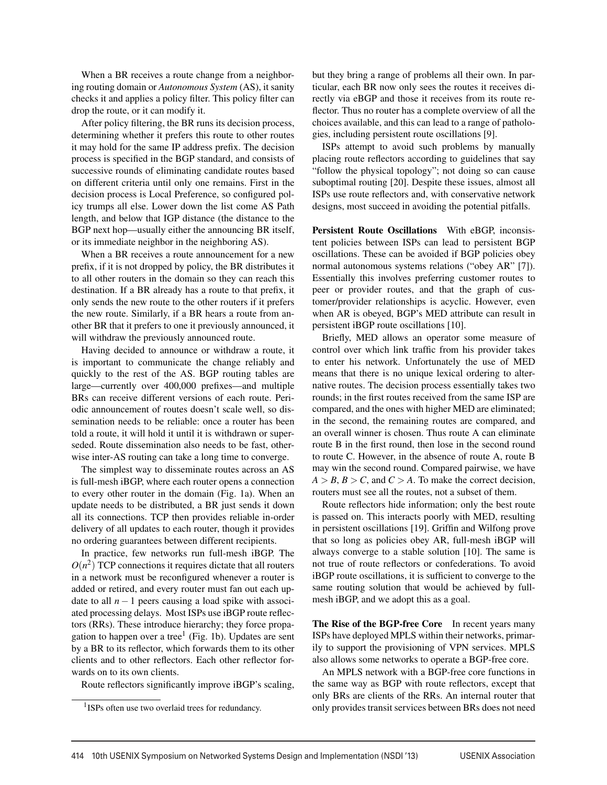When a BR receives a route change from a neighboring routing domain or *Autonomous System* (AS), it sanity checks it and applies a policy filter. This policy filter can drop the route, or it can modify it.

After policy filtering, the BR runs its decision process, determining whether it prefers this route to other routes it may hold for the same IP address prefix. The decision process is specified in the BGP standard, and consists of successive rounds of eliminating candidate routes based on different criteria until only one remains. First in the decision process is Local Preference, so configured policy trumps all else. Lower down the list come AS Path length, and below that IGP distance (the distance to the BGP next hop—usually either the announcing BR itself, or its immediate neighbor in the neighboring AS).

When a BR receives a route announcement for a new prefix, if it is not dropped by policy, the BR distributes it to all other routers in the domain so they can reach this destination. If a BR already has a route to that prefix, it only sends the new route to the other routers if it prefers the new route. Similarly, if a BR hears a route from another BR that it prefers to one it previously announced, it will withdraw the previously announced route.

Having decided to announce or withdraw a route, it is important to communicate the change reliably and quickly to the rest of the AS. BGP routing tables are large—currently over 400,000 prefixes—and multiple BRs can receive different versions of each route. Periodic announcement of routes doesn't scale well, so dissemination needs to be reliable: once a router has been told a route, it will hold it until it is withdrawn or superseded. Route dissemination also needs to be fast, otherwise inter-AS routing can take a long time to converge.

The simplest way to disseminate routes across an AS is full-mesh iBGP, where each router opens a connection to every other router in the domain (Fig. 1a). When an update needs to be distributed, a BR just sends it down all its connections. TCP then provides reliable in-order delivery of all updates to each router, though it provides no ordering guarantees between different recipients.

In practice, few networks run full-mesh iBGP. The  $O(n^2)$  TCP connections it requires dictate that all routers in a network must be reconfigured whenever a router is added or retired, and every router must fan out each update to all  $n-1$  peers causing a load spike with associated processing delays. Most ISPs use iBGP route reflectors (RRs). These introduce hierarchy; they force propagation to happen over a tree<sup>1</sup> (Fig. 1b). Updates are sent by a BR to its reflector, which forwards them to its other clients and to other reflectors. Each other reflector forwards on to its own clients.

Route reflectors significantly improve iBGP's scaling,

but they bring a range of problems all their own. In particular, each BR now only sees the routes it receives directly via eBGP and those it receives from its route reflector. Thus no router has a complete overview of all the choices available, and this can lead to a range of pathologies, including persistent route oscillations [9].

ISPs attempt to avoid such problems by manually placing route reflectors according to guidelines that say "follow the physical topology"; not doing so can cause suboptimal routing [20]. Despite these issues, almost all ISPs use route reflectors and, with conservative network designs, most succeed in avoiding the potential pitfalls.

Persistent Route Oscillations With eBGP, inconsistent policies between ISPs can lead to persistent BGP oscillations. These can be avoided if BGP policies obey normal autonomous systems relations ("obey AR" [7]). Essentially this involves preferring customer routes to peer or provider routes, and that the graph of customer/provider relationships is acyclic. However, even when AR is obeyed, BGP's MED attribute can result in persistent iBGP route oscillations [10].

Briefly, MED allows an operator some measure of control over which link traffic from his provider takes to enter his network. Unfortunately the use of MED means that there is no unique lexical ordering to alternative routes. The decision process essentially takes two rounds; in the first routes received from the same ISP are compared, and the ones with higher MED are eliminated; in the second, the remaining routes are compared, and an overall winner is chosen. Thus route A can eliminate route B in the first round, then lose in the second round to route C. However, in the absence of route A, route B may win the second round. Compared pairwise, we have  $A > B$ ,  $B > C$ , and  $C > A$ . To make the correct decision, routers must see all the routes, not a subset of them.

Route reflectors hide information; only the best route is passed on. This interacts poorly with MED, resulting in persistent oscillations [19]. Griffin and Wilfong prove that so long as policies obey AR, full-mesh iBGP will always converge to a stable solution [10]. The same is not true of route reflectors or confederations. To avoid iBGP route oscillations, it is sufficient to converge to the same routing solution that would be achieved by fullmesh iBGP, and we adopt this as a goal.

The Rise of the BGP-free Core In recent years many ISPs have deployed MPLS within their networks, primarily to support the provisioning of VPN services. MPLS also allows some networks to operate a BGP-free core.

An MPLS network with a BGP-free core functions in the same way as BGP with route reflectors, except that only BRs are clients of the RRs. An internal router that only provides transit services between BRs does not need

<sup>&</sup>lt;sup>1</sup>ISPs often use two overlaid trees for redundancy.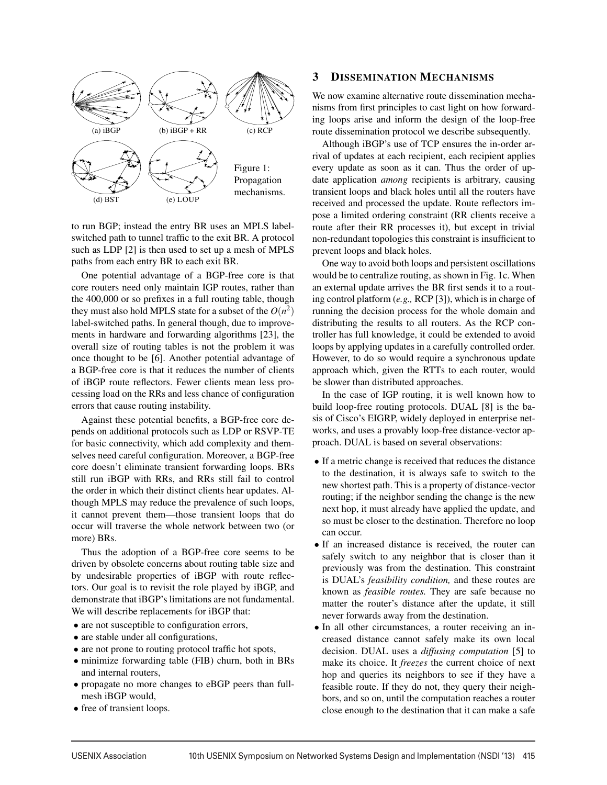

to run BGP; instead the entry BR uses an MPLS labelswitched path to tunnel traffic to the exit BR. A protocol such as LDP [2] is then used to set up a mesh of MPLS paths from each entry BR to each exit BR.

One potential advantage of a BGP-free core is that core routers need only maintain IGP routes, rather than the 400,000 or so prefixes in a full routing table, though they must also hold MPLS state for a subset of the  $O(n^2)$ label-switched paths. In general though, due to improvements in hardware and forwarding algorithms [23], the overall size of routing tables is not the problem it was once thought to be [6]. Another potential advantage of a BGP-free core is that it reduces the number of clients of iBGP route reflectors. Fewer clients mean less processing load on the RRs and less chance of configuration errors that cause routing instability.

Against these potential benefits, a BGP-free core depends on additional protocols such as LDP or RSVP-TE for basic connectivity, which add complexity and themselves need careful configuration. Moreover, a BGP-free core doesn't eliminate transient forwarding loops. BRs still run iBGP with RRs, and RRs still fail to control the order in which their distinct clients hear updates. Although MPLS may reduce the prevalence of such loops, it cannot prevent them—those transient loops that do occur will traverse the whole network between two (or more) BRs.

Thus the adoption of a BGP-free core seems to be driven by obsolete concerns about routing table size and by undesirable properties of iBGP with route reflectors. Our goal is to revisit the role played by iBGP, and demonstrate that iBGP's limitations are not fundamental. We will describe replacements for iBGP that:

- are not susceptible to configuration errors,
- are stable under all configurations,
- are not prone to routing protocol traffic hot spots,
- minimize forwarding table (FIB) churn, both in BRs and internal routers,
- propagate no more changes to eBGP peers than fullmesh iBGP would,
- free of transient loops.

# 3 DISSEMINATION MECHANISMS

We now examine alternative route dissemination mechanisms from first principles to cast light on how forwarding loops arise and inform the design of the loop-free route dissemination protocol we describe subsequently.

Although iBGP's use of TCP ensures the in-order arrival of updates at each recipient, each recipient applies every update as soon as it can. Thus the order of update application *among* recipients is arbitrary, causing transient loops and black holes until all the routers have received and processed the update. Route reflectors impose a limited ordering constraint (RR clients receive a route after their RR processes it), but except in trivial non-redundant topologies this constraint is insufficient to prevent loops and black holes.

One way to avoid both loops and persistent oscillations would be to centralize routing, as shown in Fig. 1c. When an external update arrives the BR first sends it to a routing control platform (*e.g.,* RCP [3]), which is in charge of running the decision process for the whole domain and distributing the results to all routers. As the RCP controller has full knowledge, it could be extended to avoid loops by applying updates in a carefully controlled order. However, to do so would require a synchronous update approach which, given the RTTs to each router, would be slower than distributed approaches.

In the case of IGP routing, it is well known how to build loop-free routing protocols. DUAL [8] is the basis of Cisco's EIGRP, widely deployed in enterprise networks, and uses a provably loop-free distance-vector approach. DUAL is based on several observations:

- If a metric change is received that reduces the distance to the destination, it is always safe to switch to the new shortest path. This is a property of distance-vector routing; if the neighbor sending the change is the new next hop, it must already have applied the update, and so must be closer to the destination. Therefore no loop can occur.
- If an increased distance is received, the router can safely switch to any neighbor that is closer than it previously was from the destination. This constraint is DUAL's *feasibility condition,* and these routes are known as *feasible routes.* They are safe because no matter the router's distance after the update, it still never forwards away from the destination.
- In all other circumstances, a router receiving an increased distance cannot safely make its own local decision. DUAL uses a *diffusing computation* [5] to make its choice. It *freezes* the current choice of next hop and queries its neighbors to see if they have a feasible route. If they do not, they query their neighbors, and so on, until the computation reaches a router close enough to the destination that it can make a safe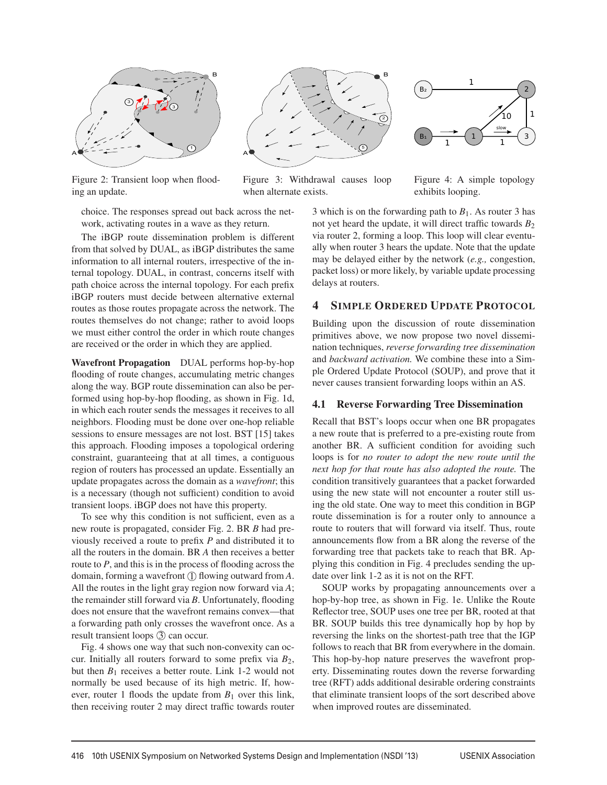

Figure 2: Transient loop when flooding an update.



Figure 3: Withdrawal causes loop when alternate exists.



Figure 4: A simple topology exhibits looping.

choice. The responses spread out back across the network, activating routes in a wave as they return.

The iBGP route dissemination problem is different from that solved by DUAL, as iBGP distributes the same information to all internal routers, irrespective of the internal topology. DUAL, in contrast, concerns itself with path choice across the internal topology. For each prefix iBGP routers must decide between alternative external routes as those routes propagate across the network. The routes themselves do not change; rather to avoid loops we must either control the order in which route changes are received or the order in which they are applied.

Wavefront Propagation DUAL performs hop-by-hop flooding of route changes, accumulating metric changes along the way. BGP route dissemination can also be performed using hop-by-hop flooding, as shown in Fig. 1d, in which each router sends the messages it receives to all neighbors. Flooding must be done over one-hop reliable sessions to ensure messages are not lost. BST [15] takes this approach. Flooding imposes a topological ordering constraint, guaranteeing that at all times, a contiguous region of routers has processed an update. Essentially an update propagates across the domain as a *wavefront*; this is a necessary (though not sufficient) condition to avoid transient loops. iBGP does not have this property.

To see why this condition is not sufficient, even as a new route is propagated, consider Fig. 2. BR *B* had previously received a route to prefix *P* and distributed it to all the routers in the domain. BR *A* then receives a better route to *P*, and this is in the process of flooding across the domain, forming a wavefront  $\overline{1}$  flowing outward from *A*. All the routes in the light gray region now forward via *A*; the remainder still forward via *B*. Unfortunately, flooding does not ensure that the wavefront remains convex—that a forwarding path only crosses the wavefront once. As a result transient loops (3) can occur.

Fig. 4 shows one way that such non-convexity can occur. Initially all routers forward to some prefix via *B*2, but then  $B_1$  receives a better route. Link 1-2 would not normally be used because of its high metric. If, however, router 1 floods the update from  $B_1$  over this link, then receiving router 2 may direct traffic towards router 3 which is on the forwarding path to  $B_1$ . As router 3 has not yet heard the update, it will direct traffic towards  $B_2$ via router 2, forming a loop. This loop will clear eventually when router 3 hears the update. Note that the update may be delayed either by the network (*e.g.,* congestion, packet loss) or more likely, by variable update processing delays at routers.

### 4 SIMPLE ORDERED UPDATE PROTOCOL

Building upon the discussion of route dissemination primitives above, we now propose two novel dissemination techniques, *reverse forwarding tree dissemination* and *backward activation.* We combine these into a Simple Ordered Update Protocol (SOUP), and prove that it never causes transient forwarding loops within an AS.

#### 4.1 Reverse Forwarding Tree Dissemination

Recall that BST's loops occur when one BR propagates a new route that is preferred to a pre-existing route from another BR. A sufficient condition for avoiding such loops is for *no router to adopt the new route until the next hop for that route has also adopted the route.* The condition transitively guarantees that a packet forwarded using the new state will not encounter a router still using the old state. One way to meet this condition in BGP route dissemination is for a router only to announce a route to routers that will forward via itself. Thus, route announcements flow from a BR along the reverse of the forwarding tree that packets take to reach that BR. Applying this condition in Fig. 4 precludes sending the update over link 1-2 as it is not on the RFT.

SOUP works by propagating announcements over a hop-by-hop tree, as shown in Fig. 1e. Unlike the Route Reflector tree, SOUP uses one tree per BR, rooted at that BR. SOUP builds this tree dynamically hop by hop by reversing the links on the shortest-path tree that the IGP follows to reach that BR from everywhere in the domain. This hop-by-hop nature preserves the wavefront property. Disseminating routes down the reverse forwarding tree (RFT) adds additional desirable ordering constraints that eliminate transient loops of the sort described above when improved routes are disseminated.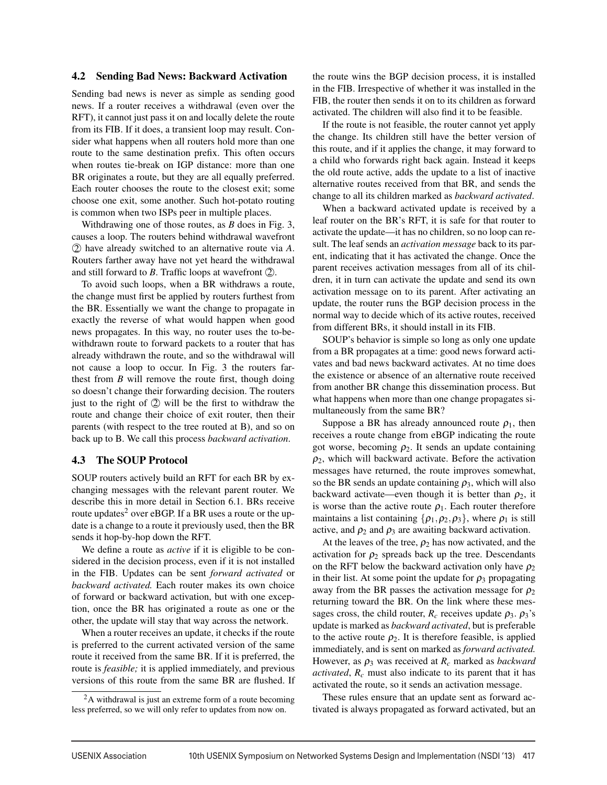### 4.2 Sending Bad News: Backward Activation

Sending bad news is never as simple as sending good news. If a router receives a withdrawal (even over the RFT), it cannot just pass it on and locally delete the route from its FIB. If it does, a transient loop may result. Consider what happens when all routers hold more than one route to the same destination prefix. This often occurs when routes tie-break on IGP distance: more than one BR originates a route, but they are all equally preferred. Each router chooses the route to the closest exit; some choose one exit, some another. Such hot-potato routing is common when two ISPs peer in multiple places.

Withdrawing one of those routes, as *B* does in Fig. 3, causes a loop. The routers behind withdrawal wavefront 2 have already switched to an alternative route via *A*. Routers farther away have not yet heard the withdrawal and still forward to  $B$ . Traffic loops at wavefront  $(2)$ .

To avoid such loops, when a BR withdraws a route, the change must first be applied by routers furthest from the BR. Essentially we want the change to propagate in exactly the reverse of what would happen when good news propagates. In this way, no router uses the to-bewithdrawn route to forward packets to a router that has already withdrawn the route, and so the withdrawal will not cause a loop to occur. In Fig. 3 the routers farthest from *B* will remove the route first, though doing so doesn't change their forwarding decision. The routers just to the right of  $(2)$  will be the first to withdraw the route and change their choice of exit router, then their parents (with respect to the tree routed at B), and so on back up to B. We call this process *backward activation*.

#### 4.3 The SOUP Protocol

SOUP routers actively build an RFT for each BR by exchanging messages with the relevant parent router. We describe this in more detail in Section 6.1. BRs receive route updates<sup>2</sup> over eBGP. If a BR uses a route or the update is a change to a route it previously used, then the BR sends it hop-by-hop down the RFT.

We define a route as *active* if it is eligible to be considered in the decision process, even if it is not installed in the FIB. Updates can be sent *forward activated* or *backward activated.* Each router makes its own choice of forward or backward activation, but with one exception, once the BR has originated a route as one or the other, the update will stay that way across the network.

When a router receives an update, it checks if the route is preferred to the current activated version of the same route it received from the same BR. If it is preferred, the route is *feasible;* it is applied immediately, and previous versions of this route from the same BR are flushed. If

the route wins the BGP decision process, it is installed in the FIB. Irrespective of whether it was installed in the FIB, the router then sends it on to its children as forward activated. The children will also find it to be feasible.

If the route is not feasible, the router cannot yet apply the change. Its children still have the better version of this route, and if it applies the change, it may forward to a child who forwards right back again. Instead it keeps the old route active, adds the update to a list of inactive alternative routes received from that BR, and sends the change to all its children marked as *backward activated*.

When a backward activated update is received by a leaf router on the BR's RFT, it is safe for that router to activate the update—it has no children, so no loop can result. The leaf sends an *activation message* back to its parent, indicating that it has activated the change. Once the parent receives activation messages from all of its children, it in turn can activate the update and send its own activation message on to its parent. After activating an update, the router runs the BGP decision process in the normal way to decide which of its active routes, received from different BRs, it should install in its FIB.

SOUP's behavior is simple so long as only one update from a BR propagates at a time: good news forward activates and bad news backward activates. At no time does the existence or absence of an alternative route received from another BR change this dissemination process. But what happens when more than one change propagates simultaneously from the same BR?

Suppose a BR has already announced route  $\rho_1$ , then receives a route change from eBGP indicating the route got worse, becoming  $\rho_2$ . It sends an update containing  $\rho_2$ , which will backward activate. Before the activation messages have returned, the route improves somewhat, so the BR sends an update containing  $\rho_3$ , which will also backward activate—even though it is better than  $\rho_2$ , it is worse than the active route  $\rho_1$ . Each router therefore maintains a list containing  $\{\rho_1, \rho_2, \rho_3\}$ , where  $\rho_1$  is still active, and  $\rho_2$  and  $\rho_3$  are awaiting backward activation.

At the leaves of the tree,  $\rho_2$  has now activated, and the activation for  $\rho_2$  spreads back up the tree. Descendants on the RFT below the backward activation only have  $\rho_2$ in their list. At some point the update for  $\rho_3$  propagating away from the BR passes the activation message for  $\rho_2$ returning toward the BR. On the link where these messages cross, the child router,  $R_c$  receives update  $\rho_3$ .  $\rho_3$ 's update is marked as *backward activated*, but is preferable to the active route  $\rho_2$ . It is therefore feasible, is applied immediately, and is sent on marked as *forward activated.* However, as ρ<sup>3</sup> was received at *Rc* marked as *backward activated*, *Rc* must also indicate to its parent that it has activated the route, so it sends an activation message.

These rules ensure that an update sent as forward activated is always propagated as forward activated, but an

 ${}^{2}$ A withdrawal is just an extreme form of a route becoming less preferred, so we will only refer to updates from now on.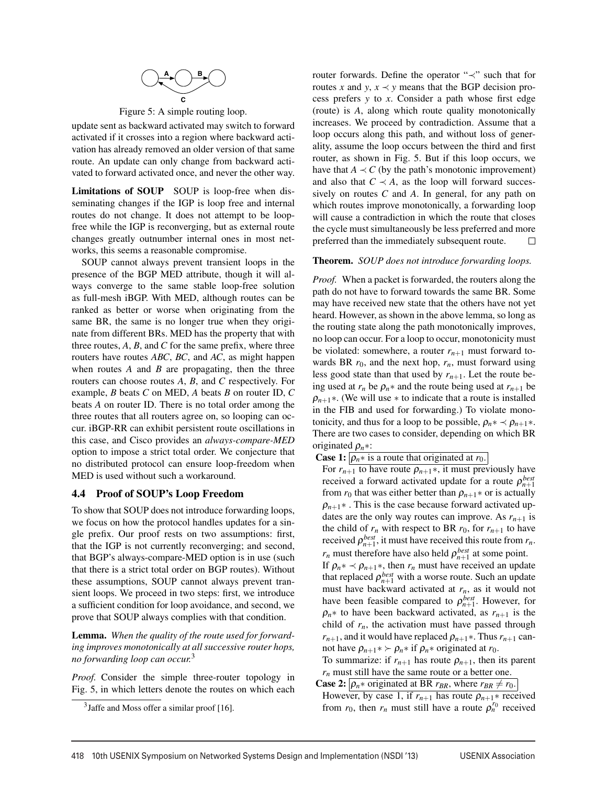

Figure 5: A simple routing loop.

update sent as backward activated may switch to forward activated if it crosses into a region where backward activation has already removed an older version of that same route. An update can only change from backward activated to forward activated once, and never the other way.

Limitations of SOUP SOUP is loop-free when disseminating changes if the IGP is loop free and internal routes do not change. It does not attempt to be loopfree while the IGP is reconverging, but as external route changes greatly outnumber internal ones in most networks, this seems a reasonable compromise.

SOUP cannot always prevent transient loops in the presence of the BGP MED attribute, though it will always converge to the same stable loop-free solution as full-mesh iBGP. With MED, although routes can be ranked as better or worse when originating from the same BR, the same is no longer true when they originate from different BRs. MED has the property that with three routes, *A*, *B*, and *C* for the same prefix, where three routers have routes *ABC*, *BC*, and *AC*, as might happen when routes *A* and *B* are propagating, then the three routers can choose routes *A*, *B*, and *C* respectively. For example, *B* beats *C* on MED, *A* beats *B* on router ID, *C* beats *A* on router ID. There is no total order among the three routes that all routers agree on, so looping can occur. iBGP-RR can exhibit persistent route oscillations in this case, and Cisco provides an *always-compare-MED* option to impose a strict total order. We conjecture that no distributed protocol can ensure loop-freedom when MED is used without such a workaround.

### 4.4 Proof of SOUP's Loop Freedom

To show that SOUP does not introduce forwarding loops, we focus on how the protocol handles updates for a single prefix. Our proof rests on two assumptions: first, that the IGP is not currently reconverging; and second, that BGP's always-compare-MED option is in use (such that there is a strict total order on BGP routes). Without these assumptions, SOUP cannot always prevent transient loops. We proceed in two steps: first, we introduce a sufficient condition for loop avoidance, and second, we prove that SOUP always complies with that condition.

Lemma. *When the quality of the route used for forwarding improves monotonically at all successive router hops, no forwarding loop can occur.*<sup>3</sup>

*Proof.* Consider the simple three-router topology in Fig. 5, in which letters denote the routes on which each router forwards. Define the operator "≺" such that for routes *x* and *y*,  $x \prec y$  means that the BGP decision process prefers *y* to *x*. Consider a path whose first edge (route) is *A*, along which route quality monotonically increases. We proceed by contradiction. Assume that a loop occurs along this path, and without loss of generality, assume the loop occurs between the third and first router, as shown in Fig. 5. But if this loop occurs, we have that  $A \prec C$  (by the path's monotonic improvement) and also that  $C \prec A$ , as the loop will forward successively on routes *C* and *A*. In general, for any path on which routes improve monotonically, a forwarding loop will cause a contradiction in which the route that closes the cycle must simultaneously be less preferred and more preferred than the immediately subsequent route.  $\Box$ 

### Theorem. *SOUP does not introduce forwarding loops.*

*Proof.* When a packet is forwarded, the routers along the path do not have to forward towards the same BR. Some may have received new state that the others have not yet heard. However, as shown in the above lemma, so long as the routing state along the path monotonically improves, no loop can occur. For a loop to occur, monotonicity must be violated: somewhere, a router  $r_{n+1}$  must forward towards BR  $r_0$ , and the next hop,  $r_n$ , must forward using less good state than that used by  $r_{n+1}$ . Let the route being used at  $r_n$  be  $\rho_n$ <sup>\*</sup> and the route being used at  $r_{n+1}$  be  $\rho_{n+1}$ <sup>\*</sup>. (We will use \* to indicate that a route is installed in the FIB and used for forwarding.) To violate monotonicity, and thus for a loop to be possible,  $\rho_n * \prec \rho_{n+1} *$ . There are two cases to consider, depending on which BR originated ρ*n*∗:

**Case 1:**  $\rho_n *$  is a route that originated at  $r_0$ .

For  $r_{n+1}$  to have route  $\rho_{n+1}$ <sup>\*</sup>, it must previously have received a forward activated update for a route  $\rho_{n+1}^{best}$ from  $r_0$  that was either better than  $\rho_{n+1}$ <sup>\*</sup> or is actually  $\rho_{n+1}$ \*. This is the case because forward activated updates are the only way routes can improve. As  $r_{n+1}$  is the child of  $r_n$  with respect to BR  $r_0$ , for  $r_{n+1}$  to have received  $\rho_{n+1}^{best}$ , it must have received this route from  $r_n$ . *r<sub>n</sub>* must therefore have also held  $\rho_{n+1}^{best}$  at some point. If  $\rho_n * \prec \rho_{n+1} *$ , then  $r_n$  must have received an update that replaced  $\rho_{n+1}^{best}$  with a worse route. Such an update

must have backward activated at *rn*, as it would not have been feasible compared to  $\rho_{n+1}^{best}$ . However, for  $\rho_n*$  to have been backward activated, as  $r_{n+1}$  is the child of  $r_n$ , the activation must have passed through  $r_{n+1}$ , and it would have replaced  $\rho_{n+1}$ \*. Thus  $r_{n+1}$  cannot have  $\rho_{n+1}$ \* >  $\rho_n$ \* if  $\rho_n$ \* originated at *r*<sub>0</sub>.

To summarize: if  $r_{n+1}$  has route  $\rho_{n+1}$ , then its parent  $r_n$  must still have the same route or a better one.

**Case 2:**  $\rho_n$ <sup>\*</sup> originated at BR  $r_{BR}$ , where  $r_{BR} \neq r_0$ .

However, by case 1, if  $r_{n+1}$  has route  $\rho_{n+1}$ <sup>\*</sup> received from  $r_0$ , then  $r_n$  must still have a route  $\rho_n^{r_0}$  received

 $3$ Jaffe and Moss offer a similar proof [16].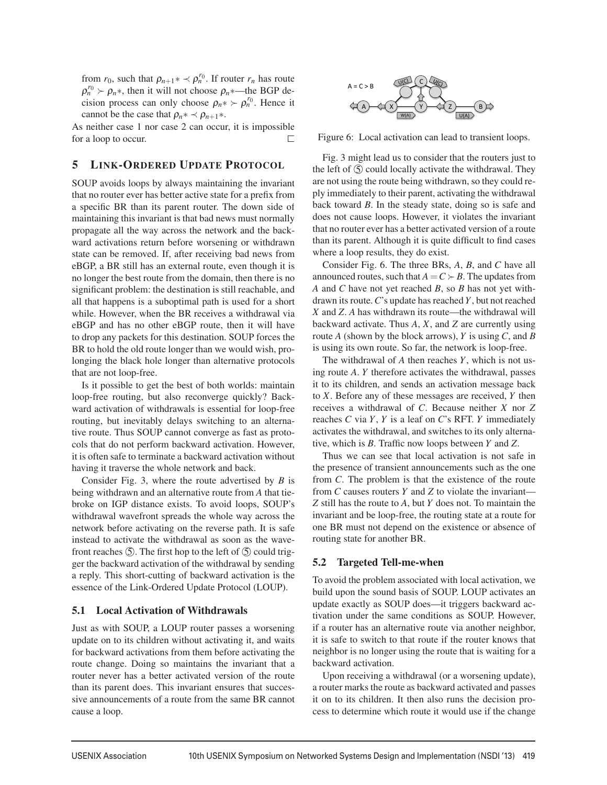from  $r_0$ , such that  $\rho_{n+1}$ <sup>\*</sup>  $\prec \rho_n^{r_0}$ . If router  $r_n$  has route  $\rho_n^{r_0} \succ \rho_n$ <sup>\*</sup>, then it will not choose  $\rho_n$ <sup>\*</sup>—the BGP decision process can only choose  $\rho_n * \succ \rho_n^{r_0}$ . Hence it cannot be the case that  $\rho_n * \prec \rho_{n+1} *$ .

As neither case 1 nor case 2 can occur, it is impossible for a loop to occur.  $\Box$ 

### 5 LINK-ORDERED UPDATE PROTOCOL

SOUP avoids loops by always maintaining the invariant that no router ever has better active state for a prefix from a specific BR than its parent router. The down side of maintaining this invariant is that bad news must normally propagate all the way across the network and the backward activations return before worsening or withdrawn state can be removed. If, after receiving bad news from eBGP, a BR still has an external route, even though it is no longer the best route from the domain, then there is no significant problem: the destination is still reachable, and all that happens is a suboptimal path is used for a short while. However, when the BR receives a withdrawal via eBGP and has no other eBGP route, then it will have to drop any packets for this destination. SOUP forces the BR to hold the old route longer than we would wish, prolonging the black hole longer than alternative protocols that are not loop-free.

Is it possible to get the best of both worlds: maintain loop-free routing, but also reconverge quickly? Backward activation of withdrawals is essential for loop-free routing, but inevitably delays switching to an alternative route. Thus SOUP cannot converge as fast as protocols that do not perform backward activation. However, it is often safe to terminate a backward activation without having it traverse the whole network and back.

Consider Fig. 3, where the route advertised by *B* is being withdrawn and an alternative route from *A* that tiebroke on IGP distance exists. To avoid loops, SOUP's withdrawal wavefront spreads the whole way across the network before activating on the reverse path. It is safe instead to activate the withdrawal as soon as the wavefront reaches  $(5)$ . The first hop to the left of  $(5)$  could trigger the backward activation of the withdrawal by sending a reply. This short-cutting of backward activation is the essence of the Link-Ordered Update Protocol (LOUP).

### 5.1 Local Activation of Withdrawals

Just as with SOUP, a LOUP router passes a worsening update on to its children without activating it, and waits for backward activations from them before activating the route change. Doing so maintains the invariant that a router never has a better activated version of the route than its parent does. This invariant ensures that successive announcements of a route from the same BR cannot cause a loop.



Figure 6: Local activation can lead to transient loops.

Fig. 3 might lead us to consider that the routers just to the left of  $\circled{S}$  could locally activate the withdrawal. They are not using the route being withdrawn, so they could reply immediately to their parent, activating the withdrawal back toward *B*. In the steady state, doing so is safe and does not cause loops. However, it violates the invariant that no router ever has a better activated version of a route than its parent. Although it is quite difficult to find cases where a loop results, they do exist.

Consider Fig. 6. The three BRs, *A*, *B*, and *C* have all announced routes, such that  $A = C \succ B$ . The updates from *A* and *C* have not yet reached *B*, so *B* has not yet withdrawn its route.*C*'s update has reached *Y*, but not reached *X* and *Z*. *A* has withdrawn its route—the withdrawal will backward activate. Thus *A*, *X*, and *Z* are currently using route *A* (shown by the block arrows), *Y* is using *C*, and *B* is using its own route. So far, the network is loop-free.

The withdrawal of *A* then reaches *Y*, which is not using route *A*. *Y* therefore activates the withdrawal, passes it to its children, and sends an activation message back to *X*. Before any of these messages are received, *Y* then receives a withdrawal of *C*. Because neither *X* nor *Z* reaches *C* via *Y*, *Y* is a leaf on *C*'s RFT. *Y* immediately activates the withdrawal, and switches to its only alternative, which is *B*. Traffic now loops between *Y* and *Z*.

Thus we can see that local activation is not safe in the presence of transient announcements such as the one from *C*. The problem is that the existence of the route from *C* causes routers *Y* and *Z* to violate the invariant— *Z* still has the route to *A*, but *Y* does not. To maintain the invariant and be loop-free, the routing state at a route for one BR must not depend on the existence or absence of routing state for another BR.

### 5.2 Targeted Tell-me-when

To avoid the problem associated with local activation, we build upon the sound basis of SOUP. LOUP activates an update exactly as SOUP does—it triggers backward activation under the same conditions as SOUP. However, if a router has an alternative route via another neighbor, it is safe to switch to that route if the router knows that neighbor is no longer using the route that is waiting for a backward activation.

Upon receiving a withdrawal (or a worsening update), a router marks the route as backward activated and passes it on to its children. It then also runs the decision process to determine which route it would use if the change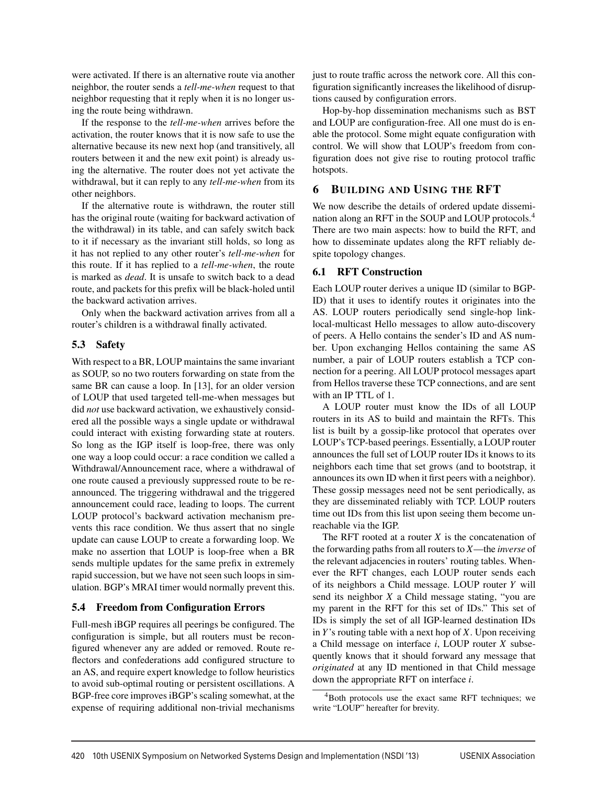were activated. If there is an alternative route via another neighbor, the router sends a *tell-me-when* request to that neighbor requesting that it reply when it is no longer using the route being withdrawn.

If the response to the *tell-me-when* arrives before the activation, the router knows that it is now safe to use the alternative because its new next hop (and transitively, all routers between it and the new exit point) is already using the alternative. The router does not yet activate the withdrawal, but it can reply to any *tell-me-when* from its other neighbors.

If the alternative route is withdrawn, the router still has the original route (waiting for backward activation of the withdrawal) in its table, and can safely switch back to it if necessary as the invariant still holds, so long as it has not replied to any other router's *tell-me-when* for this route. If it has replied to a *tell-me-when*, the route is marked as *dead*. It is unsafe to switch back to a dead route, and packets for this prefix will be black-holed until the backward activation arrives.

Only when the backward activation arrives from all a router's children is a withdrawal finally activated.

### 5.3 Safety

With respect to a BR, LOUP maintains the same invariant as SOUP, so no two routers forwarding on state from the same BR can cause a loop. In [13], for an older version of LOUP that used targeted tell-me-when messages but did *not* use backward activation, we exhaustively considered all the possible ways a single update or withdrawal could interact with existing forwarding state at routers. So long as the IGP itself is loop-free, there was only one way a loop could occur: a race condition we called a Withdrawal/Announcement race, where a withdrawal of one route caused a previously suppressed route to be reannounced. The triggering withdrawal and the triggered announcement could race, leading to loops. The current LOUP protocol's backward activation mechanism prevents this race condition. We thus assert that no single update can cause LOUP to create a forwarding loop. We make no assertion that LOUP is loop-free when a BR sends multiple updates for the same prefix in extremely rapid succession, but we have not seen such loops in simulation. BGP's MRAI timer would normally prevent this.

# 5.4 Freedom from Configuration Errors

Full-mesh iBGP requires all peerings be configured. The configuration is simple, but all routers must be reconfigured whenever any are added or removed. Route reflectors and confederations add configured structure to an AS, and require expert knowledge to follow heuristics to avoid sub-optimal routing or persistent oscillations. A BGP-free core improves iBGP's scaling somewhat, at the expense of requiring additional non-trivial mechanisms just to route traffic across the network core. All this configuration significantly increases the likelihood of disruptions caused by configuration errors.

Hop-by-hop dissemination mechanisms such as BST and LOUP are configuration-free. All one must do is enable the protocol. Some might equate configuration with control. We will show that LOUP's freedom from configuration does not give rise to routing protocol traffic hotspots.

# 6 BUILDING AND USING THE RFT

We now describe the details of ordered update dissemination along an RFT in the SOUP and LOUP protocols.<sup>4</sup> There are two main aspects: how to build the RFT, and how to disseminate updates along the RFT reliably despite topology changes.

# 6.1 RFT Construction

Each LOUP router derives a unique ID (similar to BGP-ID) that it uses to identify routes it originates into the AS. LOUP routers periodically send single-hop linklocal-multicast Hello messages to allow auto-discovery of peers. A Hello contains the sender's ID and AS number. Upon exchanging Hellos containing the same AS number, a pair of LOUP routers establish a TCP connection for a peering. All LOUP protocol messages apart from Hellos traverse these TCP connections, and are sent with an IP TTL of 1.

A LOUP router must know the IDs of all LOUP routers in its AS to build and maintain the RFTs. This list is built by a gossip-like protocol that operates over LOUP's TCP-based peerings. Essentially, a LOUP router announces the full set of LOUP router IDs it knows to its neighbors each time that set grows (and to bootstrap, it announces its own ID when it first peers with a neighbor). These gossip messages need not be sent periodically, as they are disseminated reliably with TCP. LOUP routers time out IDs from this list upon seeing them become unreachable via the IGP.

The RFT rooted at a router  $X$  is the concatenation of the forwarding paths from all routers to *X*—the *inverse* of the relevant adjacencies in routers' routing tables. Whenever the RFT changes, each LOUP router sends each of its neighbors a Child message. LOUP router *Y* will send its neighbor *X* a Child message stating, "you are my parent in the RFT for this set of IDs." This set of IDs is simply the set of all IGP-learned destination IDs in *Y*'s routing table with a next hop of *X*. Upon receiving a Child message on interface *i*, LOUP router *X* subsequently knows that it should forward any message that *originated* at any ID mentioned in that Child message down the appropriate RFT on interface *i*.

 $4$ Both protocols use the exact same RFT techniques; we write "LOUP" hereafter for brevity.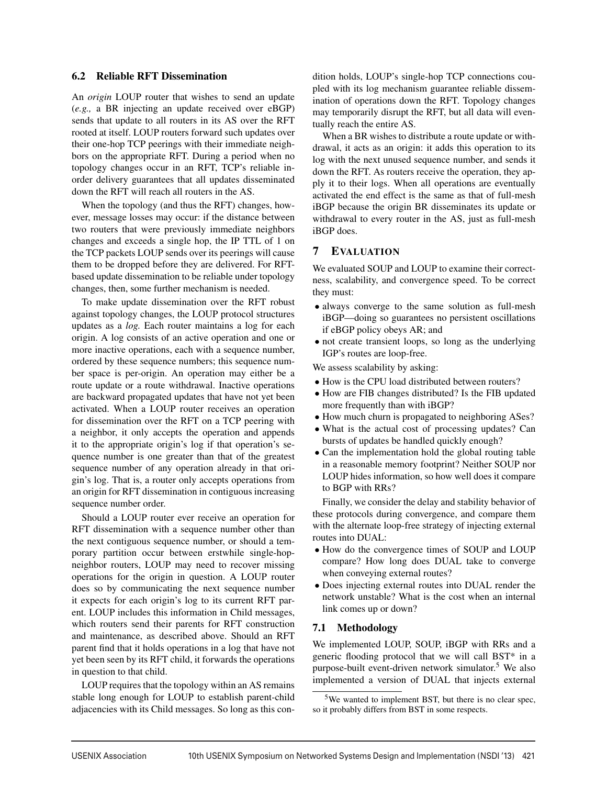### 6.2 Reliable RFT Dissemination

An *origin* LOUP router that wishes to send an update (*e.g.,* a BR injecting an update received over eBGP) sends that update to all routers in its AS over the RFT rooted at itself. LOUP routers forward such updates over their one-hop TCP peerings with their immediate neighbors on the appropriate RFT. During a period when no topology changes occur in an RFT, TCP's reliable inorder delivery guarantees that all updates disseminated down the RFT will reach all routers in the AS.

When the topology (and thus the RFT) changes, however, message losses may occur: if the distance between two routers that were previously immediate neighbors changes and exceeds a single hop, the IP TTL of 1 on the TCP packets LOUP sends over its peerings will cause them to be dropped before they are delivered. For RFTbased update dissemination to be reliable under topology changes, then, some further mechanism is needed.

To make update dissemination over the RFT robust against topology changes, the LOUP protocol structures updates as a *log.* Each router maintains a log for each origin. A log consists of an active operation and one or more inactive operations, each with a sequence number, ordered by these sequence numbers; this sequence number space is per-origin. An operation may either be a route update or a route withdrawal. Inactive operations are backward propagated updates that have not yet been activated. When a LOUP router receives an operation for dissemination over the RFT on a TCP peering with a neighbor, it only accepts the operation and appends it to the appropriate origin's log if that operation's sequence number is one greater than that of the greatest sequence number of any operation already in that origin's log. That is, a router only accepts operations from an origin for RFT dissemination in contiguous increasing sequence number order.

Should a LOUP router ever receive an operation for RFT dissemination with a sequence number other than the next contiguous sequence number, or should a temporary partition occur between erstwhile single-hopneighbor routers, LOUP may need to recover missing operations for the origin in question. A LOUP router does so by communicating the next sequence number it expects for each origin's log to its current RFT parent. LOUP includes this information in Child messages, which routers send their parents for RFT construction and maintenance, as described above. Should an RFT parent find that it holds operations in a log that have not yet been seen by its RFT child, it forwards the operations in question to that child.

LOUP requires that the topology within an AS remains stable long enough for LOUP to establish parent-child adjacencies with its Child messages. So long as this condition holds, LOUP's single-hop TCP connections coupled with its log mechanism guarantee reliable dissemination of operations down the RFT. Topology changes may temporarily disrupt the RFT, but all data will eventually reach the entire AS.

When a BR wishes to distribute a route update or withdrawal, it acts as an origin: it adds this operation to its log with the next unused sequence number, and sends it down the RFT. As routers receive the operation, they apply it to their logs. When all operations are eventually activated the end effect is the same as that of full-mesh iBGP because the origin BR disseminates its update or withdrawal to every router in the AS, just as full-mesh iBGP does.

### 7 EVALUATION

We evaluated SOUP and LOUP to examine their correctness, scalability, and convergence speed. To be correct they must:

- always converge to the same solution as full-mesh iBGP—doing so guarantees no persistent oscillations if eBGP policy obeys AR; and
- not create transient loops, so long as the underlying IGP's routes are loop-free.

We assess scalability by asking:

- How is the CPU load distributed between routers?
- How are FIB changes distributed? Is the FIB updated more frequently than with iBGP?
- How much churn is propagated to neighboring ASes?
- What is the actual cost of processing updates? Can bursts of updates be handled quickly enough?
- Can the implementation hold the global routing table in a reasonable memory footprint? Neither SOUP nor LOUP hides information, so how well does it compare to BGP with RRs?

Finally, we consider the delay and stability behavior of these protocols during convergence, and compare them with the alternate loop-free strategy of injecting external routes into DUAL:

- How do the convergence times of SOUP and LOUP compare? How long does DUAL take to converge when conveying external routes?
- Does injecting external routes into DUAL render the network unstable? What is the cost when an internal link comes up or down?

#### 7.1 Methodology

We implemented LOUP, SOUP, iBGP with RRs and a generic flooding protocol that we will call BST\* in a purpose-built event-driven network simulator.<sup>5</sup> We also implemented a version of DUAL that injects external

<sup>5</sup>We wanted to implement BST, but there is no clear spec, so it probably differs from BST in some respects.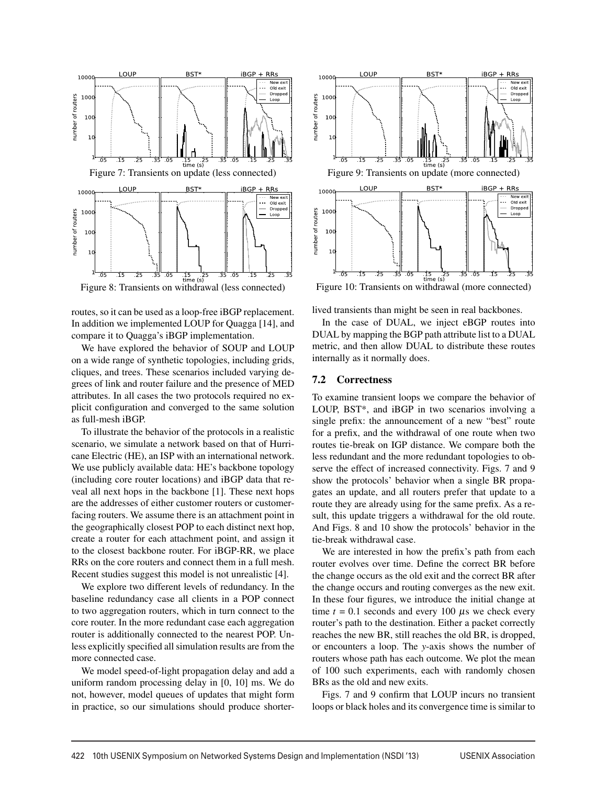

Figure 8: Transients on withdrawal (less connected)

routes, so it can be used as a loop-free iBGP replacement. In addition we implemented LOUP for Quagga [14], and compare it to Quagga's iBGP implementation.

We have explored the behavior of SOUP and LOUP on a wide range of synthetic topologies, including grids, cliques, and trees. These scenarios included varying degrees of link and router failure and the presence of MED attributes. In all cases the two protocols required no explicit configuration and converged to the same solution as full-mesh iBGP.

To illustrate the behavior of the protocols in a realistic scenario, we simulate a network based on that of Hurricane Electric (HE), an ISP with an international network. We use publicly available data: HE's backbone topology (including core router locations) and iBGP data that reveal all next hops in the backbone [1]. These next hops are the addresses of either customer routers or customerfacing routers. We assume there is an attachment point in the geographically closest POP to each distinct next hop, create a router for each attachment point, and assign it to the closest backbone router. For iBGP-RR, we place RRs on the core routers and connect them in a full mesh. Recent studies suggest this model is not unrealistic [4].

We explore two different levels of redundancy. In the baseline redundancy case all clients in a POP connect to two aggregation routers, which in turn connect to the core router. In the more redundant case each aggregation router is additionally connected to the nearest POP. Unless explicitly specified all simulation results are from the more connected case.

We model speed-of-light propagation delay and add a uniform random processing delay in [0, 10] ms. We do not, however, model queues of updates that might form in practice, so our simulations should produce shorter-



lived transients than might be seen in real backbones.

In the case of DUAL, we inject eBGP routes into DUAL by mapping the BGP path attribute list to a DUAL metric, and then allow DUAL to distribute these routes internally as it normally does.

#### 7.2 Correctness

To examine transient loops we compare the behavior of LOUP, BST\*, and iBGP in two scenarios involving a single prefix: the announcement of a new "best" route for a prefix, and the withdrawal of one route when two routes tie-break on IGP distance. We compare both the less redundant and the more redundant topologies to observe the effect of increased connectivity. Figs. 7 and 9 show the protocols' behavior when a single BR propagates an update, and all routers prefer that update to a route they are already using for the same prefix. As a result, this update triggers a withdrawal for the old route. And Figs. 8 and 10 show the protocols' behavior in the tie-break withdrawal case.

We are interested in how the prefix's path from each router evolves over time. Define the correct BR before the change occurs as the old exit and the correct BR after the change occurs and routing converges as the new exit. In these four figures, we introduce the initial change at time  $t = 0.1$  seconds and every 100  $\mu$ s we check every router's path to the destination. Either a packet correctly reaches the new BR, still reaches the old BR, is dropped, or encounters a loop. The *y*-axis shows the number of routers whose path has each outcome. We plot the mean of 100 such experiments, each with randomly chosen BRs as the old and new exits.

Figs. 7 and 9 confirm that LOUP incurs no transient loops or black holes and its convergence time is similar to

 $\overline{a}$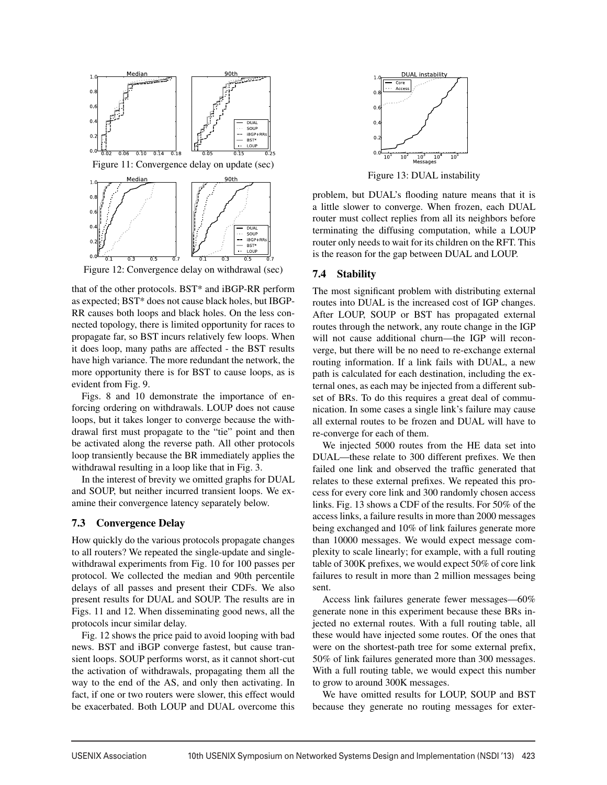

Figure 12: Convergence delay on withdrawal (sec)

that of the other protocols. BST\* and iBGP-RR perform as expected; BST\* does not cause black holes, but IBGP-RR causes both loops and black holes. On the less connected topology, there is limited opportunity for races to propagate far, so BST incurs relatively few loops. When it does loop, many paths are affected - the BST results have high variance. The more redundant the network, the more opportunity there is for BST to cause loops, as is evident from Fig. 9.

Figs. 8 and 10 demonstrate the importance of enforcing ordering on withdrawals. LOUP does not cause loops, but it takes longer to converge because the withdrawal first must propagate to the "tie" point and then be activated along the reverse path. All other protocols loop transiently because the BR immediately applies the withdrawal resulting in a loop like that in Fig. 3.

In the interest of brevity we omitted graphs for DUAL and SOUP, but neither incurred transient loops. We examine their convergence latency separately below.

### 7.3 Convergence Delay

How quickly do the various protocols propagate changes to all routers? We repeated the single-update and singlewithdrawal experiments from Fig. 10 for 100 passes per protocol. We collected the median and 90th percentile delays of all passes and present their CDFs. We also present results for DUAL and SOUP. The results are in Figs. 11 and 12. When disseminating good news, all the protocols incur similar delay.

Fig. 12 shows the price paid to avoid looping with bad news. BST and iBGP converge fastest, but cause transient loops. SOUP performs worst, as it cannot short-cut the activation of withdrawals, propagating them all the way to the end of the AS, and only then activating. In fact, if one or two routers were slower, this effect would be exacerbated. Both LOUP and DUAL overcome this



Figure 13: DUAL instability

problem, but DUAL's flooding nature means that it is a little slower to converge. When frozen, each DUAL router must collect replies from all its neighbors before terminating the diffusing computation, while a LOUP router only needs to wait for its children on the RFT. This is the reason for the gap between DUAL and LOUP.

### 7.4 Stability

The most significant problem with distributing external routes into DUAL is the increased cost of IGP changes. After LOUP, SOUP or BST has propagated external routes through the network, any route change in the IGP will not cause additional churn—the IGP will reconverge, but there will be no need to re-exchange external routing information. If a link fails with DUAL, a new path is calculated for each destination, including the external ones, as each may be injected from a different subset of BRs. To do this requires a great deal of communication. In some cases a single link's failure may cause all external routes to be frozen and DUAL will have to re-converge for each of them.

We injected 5000 routes from the HE data set into DUAL—these relate to 300 different prefixes. We then failed one link and observed the traffic generated that relates to these external prefixes. We repeated this process for every core link and 300 randomly chosen access links. Fig. 13 shows a CDF of the results. For 50% of the access links, a failure results in more than 2000 messages being exchanged and 10% of link failures generate more than 10000 messages. We would expect message complexity to scale linearly; for example, with a full routing table of 300K prefixes, we would expect 50% of core link failures to result in more than 2 million messages being sent.

Access link failures generate fewer messages—60% generate none in this experiment because these BRs injected no external routes. With a full routing table, all these would have injected some routes. Of the ones that were on the shortest-path tree for some external prefix, 50% of link failures generated more than 300 messages. With a full routing table, we would expect this number to grow to around 300K messages.

We have omitted results for LOUP, SOUP and BST because they generate no routing messages for exter-

 $\overline{1}$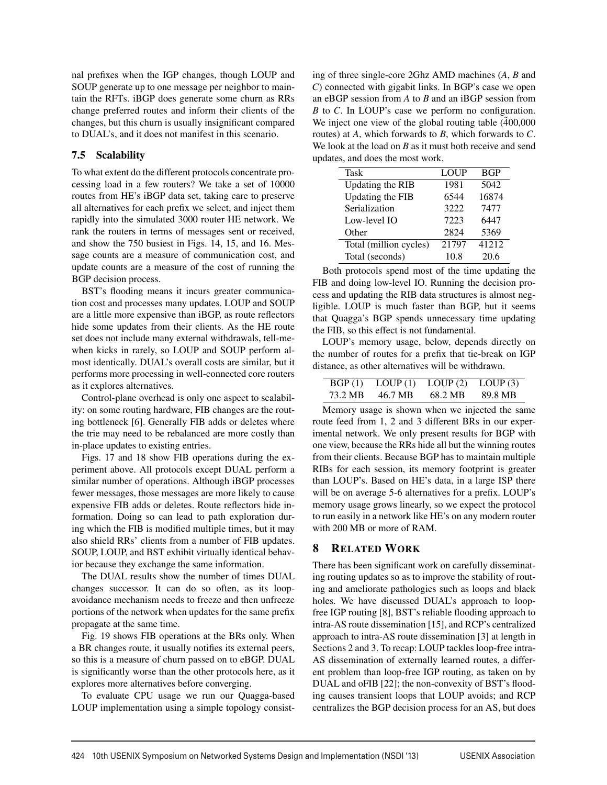nal prefixes when the IGP changes, though LOUP and SOUP generate up to one message per neighbor to maintain the RFTs. iBGP does generate some churn as RRs change preferred routes and inform their clients of the changes, but this churn is usually insignificant compared to DUAL's, and it does not manifest in this scenario.

# 7.5 Scalability

To what extent do the different protocols concentrate processing load in a few routers? We take a set of 10000 routes from HE's iBGP data set, taking care to preserve all alternatives for each prefix we select, and inject them rapidly into the simulated 3000 router HE network. We rank the routers in terms of messages sent or received, and show the 750 busiest in Figs. 14, 15, and 16. Message counts are a measure of communication cost, and update counts are a measure of the cost of running the BGP decision process.

BST's flooding means it incurs greater communication cost and processes many updates. LOUP and SOUP are a little more expensive than iBGP, as route reflectors hide some updates from their clients. As the HE route set does not include many external withdrawals, tell-mewhen kicks in rarely, so LOUP and SOUP perform almost identically. DUAL's overall costs are similar, but it performs more processing in well-connected core routers as it explores alternatives.

Control-plane overhead is only one aspect to scalability: on some routing hardware, FIB changes are the routing bottleneck [6]. Generally FIB adds or deletes where the trie may need to be rebalanced are more costly than in-place updates to existing entries.

Figs. 17 and 18 show FIB operations during the experiment above. All protocols except DUAL perform a similar number of operations. Although iBGP processes fewer messages, those messages are more likely to cause expensive FIB adds or deletes. Route reflectors hide information. Doing so can lead to path exploration during which the FIB is modified multiple times, but it may also shield RRs' clients from a number of FIB updates. SOUP, LOUP, and BST exhibit virtually identical behavior because they exchange the same information.

The DUAL results show the number of times DUAL changes successor. It can do so often, as its loopavoidance mechanism needs to freeze and then unfreeze portions of the network when updates for the same prefix propagate at the same time.

Fig. 19 shows FIB operations at the BRs only. When a BR changes route, it usually notifies its external peers, so this is a measure of churn passed on to eBGP. DUAL is significantly worse than the other protocols here, as it explores more alternatives before converging.

To evaluate CPU usage we run our Quagga-based LOUP implementation using a simple topology consisting of three single-core 2Ghz AMD machines (*A*, *B* and *C*) connected with gigabit links. In BGP's case we open an eBGP session from *A* to *B* and an iBGP session from *B* to *C*. In LOUP's case we perform no configuration. We inject one view of the global routing table  $(400,000)$ routes) at *A*, which forwards to *B*, which forwards to *C*. We look at the load on *B* as it must both receive and send updates, and does the most work.

| Task                    | LOUP  | <b>BGP</b> |
|-------------------------|-------|------------|
| <b>Updating the RIB</b> | 1981  | 5042       |
| Updating the FIB        | 6544  | 16874      |
| Serialization           | 3222  | 7477       |
| Low-level IO            | 7223  | 6447       |
| Other                   | 2824  | 5369       |
| Total (million cycles)  | 21797 | 41212      |
| Total (seconds)         | 10.8  | 20.6       |

Both protocols spend most of the time updating the FIB and doing low-level IO. Running the decision process and updating the RIB data structures is almost negligible. LOUP is much faster than BGP, but it seems that Quagga's BGP spends unnecessary time updating the FIB, so this effect is not fundamental.

LOUP's memory usage, below, depends directly on the number of routes for a prefix that tie-break on IGP distance, as other alternatives will be withdrawn.

| BGP(1)  | LOUP(1) | LOUP(2) | LOUP $(3)$ |
|---------|---------|---------|------------|
| 73.2 MB | 46.7 MB | 68.2 MB | 89.8 MB    |

Memory usage is shown when we injected the same route feed from 1, 2 and 3 different BRs in our experimental network. We only present results for BGP with one view, because the RRs hide all but the winning routes from their clients. Because BGP has to maintain multiple RIBs for each session, its memory footprint is greater than LOUP's. Based on HE's data, in a large ISP there will be on average 5-6 alternatives for a prefix. LOUP's memory usage grows linearly, so we expect the protocol to run easily in a network like HE's on any modern router with 200 MB or more of RAM.

# 8 RELATED WORK

There has been significant work on carefully disseminating routing updates so as to improve the stability of routing and ameliorate pathologies such as loops and black holes. We have discussed DUAL's approach to loopfree IGP routing [8], BST's reliable flooding approach to intra-AS route dissemination [15], and RCP's centralized approach to intra-AS route dissemination [3] at length in Sections 2 and 3. To recap: LOUP tackles loop-free intra-AS dissemination of externally learned routes, a different problem than loop-free IGP routing, as taken on by DUAL and oFIB [22]; the non-convexity of BST's flooding causes transient loops that LOUP avoids; and RCP centralizes the BGP decision process for an AS, but does

 $\overline{a}$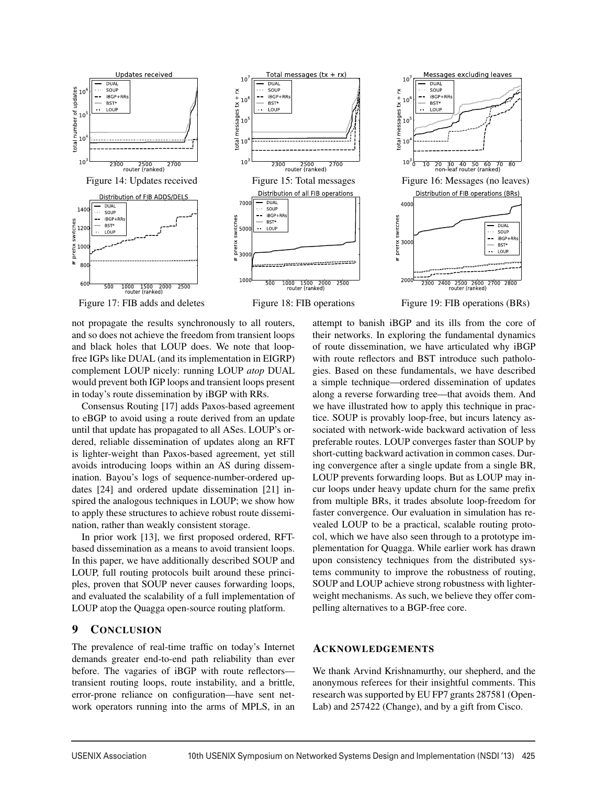



Total messages  $(tx + rx)$ 

 $10$ 

**DUAL** 



not propagate the results synchronously to all routers, and so does not achieve the freedom from transient loops and black holes that LOUP does. We note that loopfree IGPs like DUAL (and its implementation in EIGRP) complement LOUP nicely: running LOUP *atop* DUAL would prevent both IGP loops and transient loops present in today's route dissemination by iBGP with RRs.

Consensus Routing [17] adds Paxos-based agreement to eBGP to avoid using a route derived from an update until that update has propagated to all ASes. LOUP's ordered, reliable dissemination of updates along an RFT is lighter-weight than Paxos-based agreement, yet still avoids introducing loops within an AS during dissemination. Bayou's logs of sequence-number-ordered updates [24] and ordered update dissemination [21] inspired the analogous techniques in LOUP; we show how to apply these structures to achieve robust route dissemination, rather than weakly consistent storage.

In prior work [13], we first proposed ordered, RFTbased dissemination as a means to avoid transient loops. In this paper, we have additionally described SOUP and LOUP, full routing protocols built around these principles, proven that SOUP never causes forwarding loops, and evaluated the scalability of a full implementation of LOUP atop the Quagga open-source routing platform.

# 9 CONCLUSION

The prevalence of real-time traffic on today's Internet demands greater end-to-end path reliability than ever before. The vagaries of iBGP with route reflectors transient routing loops, route instability, and a brittle, error-prone reliance on configuration—have sent network operators running into the arms of MPLS, in an

attempt to banish iBGP and its ills from the core of their networks. In exploring the fundamental dynamics of route dissemination, we have articulated why iBGP with route reflectors and BST introduce such pathologies. Based on these fundamentals, we have described a simple technique—ordered dissemination of updates along a reverse forwarding tree—that avoids them. And we have illustrated how to apply this technique in practice. SOUP is provably loop-free, but incurs latency associated with network-wide backward activation of less preferable routes. LOUP converges faster than SOUP by short-cutting backward activation in common cases. During convergence after a single update from a single BR, LOUP prevents forwarding loops. But as LOUP may incur loops under heavy update churn for the same prefix from multiple BRs, it trades absolute loop-freedom for faster convergence. Our evaluation in simulation has revealed LOUP to be a practical, scalable routing protocol, which we have also seen through to a prototype implementation for Quagga. While earlier work has drawn upon consistency techniques from the distributed systems community to improve the robustness of routing, SOUP and LOUP achieve strong robustness with lighterweight mechanisms. As such, we believe they offer compelling alternatives to a BGP-free core.

# ACKNOWLEDGEMENTS

We thank Arvind Krishnamurthy, our shepherd, and the anonymous referees for their insightful comments. This research was supported by EU FP7 grants 287581 (Open-Lab) and 257422 (Change), and by a gift from Cisco.

 $\overline{a}$